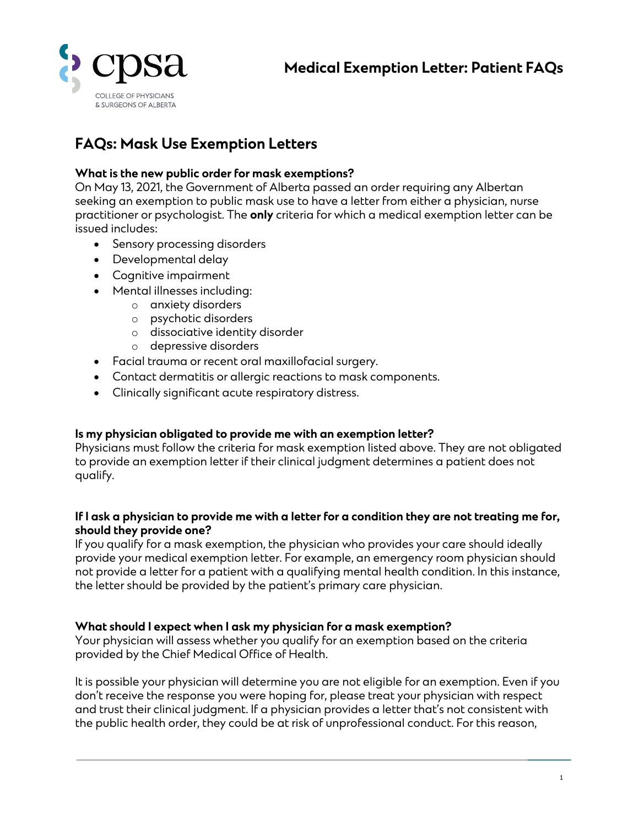

# **FAQs: Mask Use Exemption Letters**

### **What is the new public order for mask exemptions?**

On May 13, 2021, the Government of Alberta passed an order requiring any Albertan seeking an exemption to public mask use to have a letter from either a physician, nurse practitioner or psychologist. The **only** criteria for which a medical exemption letter can be issued includes:

- Sensory processing disorders
- Developmental delay
- Cognitive impairment
- Mental illnesses including:
	- o anxiety disorders
	- o psychotic disorders
	- o dissociative identity disorder
	- o depressive disorders
- Facial trauma or recent oral maxillofacial surgery.
- Contact dermatitis or allergic reactions to mask components.
- Clinically significant acute respiratory distress.

#### **Is my physician obligated to provide me with an exemption letter?**

Physicians must follow the criteria for mask exemption listed above. They are not obligated to provide an exemption letter if their clinical judgment determines a patient does not qualify.

#### **If I ask a physician to provide me with a letter for a condition they are not treating me for, should they provide one?**

If you qualify for a mask exemption, the physician who provides your care should ideally provide your medical exemption letter. For example, an emergency room physician should not provide a letter for a patient with a qualifying mental health condition. In this instance, the letter should be provided by the patient's primary care physician.

#### **What should I expect when I ask my physician for a mask exemption?**

Your physician will assess whether you qualify for an exemption based on the criteria provided by the Chief Medical Office of Health.

It is possible your physician will determine you are not eligible for an exemption. Even if you don't receive the response you were hoping for, please treat your physician with respect and trust their clinical judgment. If a physician provides a letter that's not consistent with the public health order, they could be at risk of unprofessional conduct. For this reason,